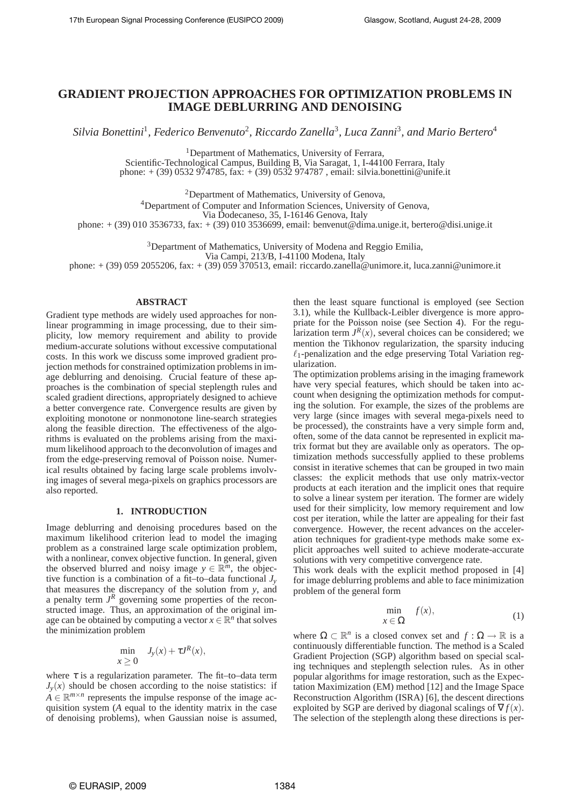# **GRADIENT PROJECTION APPROACHES FOR OPTIMIZATION PROBLEMS IN IMAGE DEBLURRING AND DENOISING**

 $Silvia$  Bonettini<sup>1</sup>, Federico Benvenuto<sup>2</sup>, Riccardo Zanella<sup>3</sup>, Luca Zanni<sup>3</sup>, and Mario Bertero<sup>4</sup>

<sup>1</sup>Department of Mathematics, University of Ferrara,

Scientific-Technological Campus, Building B, Via Saragat, 1, I-44100 Ferrara, Italy phone: + (39) 0532 974785, fax: + (39) 0532 974787 , email: silvia.bonettini@unife.it

<sup>2</sup>Department of Mathematics, University of Genova,

<sup>4</sup>Department of Computer and Information Sciences, University of Genova,

Via Dodecaneso, 35, I-16146 Genova, Italy

phone: + (39) 010 3536733, fax: + (39) 010 3536699, email: benvenut@dima.unige.it, bertero@disi.unige.it

<sup>3</sup>Department of Mathematics, University of Modena and Reggio Emilia,

Via Campi, 213/B, I-41100 Modena, Italy

phone: + (39) 059 2055206, fax: + (39) 059 370513, email: riccardo.zanella@unimore.it, luca.zanni@unimore.it

#### **ABSTRACT**

Gradient type methods are widely used approaches for nonlinear programming in image processing, due to their simplicity, low memory requirement and ability to provide medium-accurate solutions without excessive computational costs. In this work we discuss some improved gradient projection methods for constrained optimization problems in image deblurring and denoising. Crucial feature of these approaches is the combination of special steplength rules and scaled gradient directions, appropriately designed to achieve a better convergence rate. Convergence results are given by exploiting monotone or nonmonotone line-search strategies along the feasible direction. The effectiveness of the algorithms is evaluated on the problems arising from the maximum likelihood approach to the deconvolution of images and from the edge-preserving removal of Poisson noise. Numerical results obtained by facing large scale problems involving images of several mega-pixels on graphics processors are also reported.

## **1. INTRODUCTION**

Image deblurring and denoising procedures based on the maximum likelihood criterion lead to model the imaging problem as a constrained large scale optimization problem, with a nonlinear, convex objective function. In general, given the observed blurred and noisy image  $y \in \mathbb{R}^m$ , the objective function is a combination of a fit–to–data functional  $J_v$ that measures the discrepancy of the solution from *y*, and a penalty term  $J<sup>R</sup>$  governing some properties of the reconstructed image. Thus, an approximation of the original image can be obtained by computing a vector  $x \in \mathbb{R}^n$  that solves the minimization problem

$$
\min_{x \ge 0} J_y(x) + \tau J^R(x),
$$

where  $\tau$  is a regularization parameter. The fit–to–data term  $J_v(x)$  should be chosen according to the noise statistics: if  $A \in \mathbb{R}^{m \times n}$  represents the impulse response of the image acquisition system (*A* equal to the identity matrix in the case of denoising problems), when Gaussian noise is assumed,

then the least square functional is employed (see Section 3.1), while the Kullback-Leibler divergence is more appropriate for the Poisson noise (see Section 4). For the regularization term  $J^R(x)$ , several choices can be considered; we mention the Tikhonov regularization, the sparsity inducing  $\ell_1$ -penalization and the edge preserving Total Variation regularization.

The optimization problems arising in the imaging framework have very special features, which should be taken into account when designing the optimization methods for computing the solution. For example, the sizes of the problems are very large (since images with several mega-pixels need to be processed), the constraints have a very simple form and, often, some of the data cannot be represented in explicit matrix format but they are available only as operators. The optimization methods successfully applied to these problems consist in iterative schemes that can be grouped in two main classes: the explicit methods that use only matrix-vector products at each iteration and the implicit ones that require to solve a linear system per iteration. The former are widely used for their simplicity, low memory requirement and low cost per iteration, while the latter are appealing for their fast convergence. However, the recent advances on the acceleration techniques for gradient-type methods make some explicit approaches well suited to achieve moderate-accurate solutions with very competitive convergence rate.

This work deals with the explicit method proposed in [4] for image deblurring problems and able to face minimization problem of the general form

$$
\min_{x \in \Omega} f(x),\tag{1}
$$

where  $\Omega \subset \mathbb{R}^n$  is a closed convex set and  $f : \Omega \to \mathbb{R}$  is a continuously differentiable function. The method is a Scaled Gradient Projection (SGP) algorithm based on special scaling techniques and steplength selection rules. As in other popular algorithms for image restoration, such as the Expectation Maximization (EM) method [12] and the Image Space Reconstruction Algorithm (ISRA) [6], the descent directions exploited by SGP are derived by diagonal scalings of  $\nabla f(x)$ . The selection of the steplength along these directions is per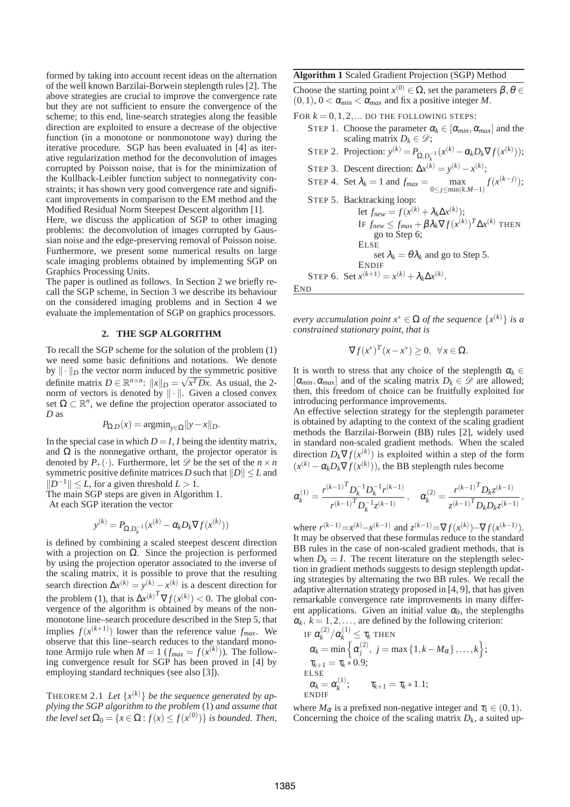formed by taking into account recent ideas on the alternation of the well known Barzilai-Borwein steplength rules [2]. The above strategies are crucial to improve the convergence rate but they are not sufficient to ensure the convergence of the scheme; to this end, line-search strategies along the feasible direction are exploited to ensure a decrease of the objective function (in a monotone or nonmonotone way) during the iterative procedure. SGP has been evaluated in [4] as iterative regularization method for the deconvolution of images corrupted by Poisson noise, that is for the minimization of the Kullback-Leibler function subject to nonnegativity constraints; it has shown very good convergence rate and significant improvements in comparison to the EM method and the Modified Residual Norm Steepest Descent algorithm [1].

Here, we discuss the application of SGP to other imaging problems: the deconvolution of images corrupted by Gaussian noise and the edge-preserving removal of Poisson noise. Furthermore, we present some numerical results on large scale imaging problems obtained by implementing SGP on Graphics Processing Units.

The paper is outlined as follows. In Section 2 we briefly recall the SGP scheme, in Section 3 we describe its behaviour on the considered imaging problems and in Section 4 we evaluate the implementation of SGP on graphics processors.

### **2. THE SGP ALGORITHM**

To recall the SGP scheme for the solution of the problem (1) we need some basic definitions and notations. We denote by  $\|\cdot\|_D$  the vector norm induced by the symmetric positive definite matrix  $D \in \mathbb{R}^{n \times n}$ :  $||x||_{D} = \sqrt{x^{T}Dx}$ . As usual, the 2norm of vectors is denoted by  $\|\cdot\|$ . Given a closed convex set  $\Omega \subset \mathbb{R}^n$ , we define the projection operator associated to *D* as

$$
P_{\Omega,D}(x) = \operatorname{argmin}_{y \in \Omega} ||y - x||_D.
$$

In the special case in which  $D = I$ , *I* being the identity matrix, and  $\Omega$  is the nonnegative orthant, the projector operator is denoted by  $P_+(\cdot)$ . Furthermore, let  $\mathscr D$  be the set of the  $n \times n$ symmetric positive definite matrices *D* such that  $||D|| \le L$  and  $||D^{-1}||$  ≤ *L*, for a given threshold *L* > 1.

The main SGP steps are given in Algorithm 1.

At each SGP iteration the vector

$$
y^{(k)} = P_{\Omega, D_k^{-1}}(x^{(k)} - \alpha_k D_k \nabla f(x^{(k)}))
$$

is defined by combining a scaled steepest descent direction with a projection on  $\Omega$ . Since the projection is performed by using the projection operator associated to the inverse of the scaling matrix, it is possible to prove that the resulting search direction  $\Delta x^{(k)} = y^{(k)} - x^{(k)}$  is a descent direction for the problem (1), that is  $\Delta x^{(k)}^T \nabla f(x^{(k)}) < 0$ . The global convergence of the algorithm is obtained by means of the nonmonotone line–search procedure described in the Step 5, that implies  $f(x^{(k+1)})$  lower than the reference value  $f_{max}$ . We observe that this line–search reduces to the standard monotone Armijo rule when  $M = 1$  ( $f_{max} = f(x^{(k)})$ ). The following convergence result for SGP has been proved in [4] by employing standard techniques (see also [3]).

THEOREM 2.1 *Let* {*x* (*k*)} *be the sequence generated by ap-plying the SGP algorithm to the problem* (1) *and assume that the level set*  $\Omega_0 = \{x \in \Omega : f(x) \le f(x^{(0)})\}$  *is bounded. Then,*  **Algorithm 1** Scaled Gradient Projection (SGP) Method

Choose the starting point  $x^{(0)} \in \Omega$ , set the parameters  $\beta, \theta \in \Omega$  $(0,1)$ ,  $0 < \alpha_{min} < \alpha_{max}$  and fix a positive integer *M*.

FOR  $k = 0, 1, 2, \dots$  DO THE FOLLOWING STEPS:

STEP 1. Choose the parameter  $\alpha_k \in [\alpha_{min}, \alpha_{max}]$  and the scaling matrix  $D_k \in \mathcal{D}$ ; STEP 2. Projection:  $y^{(k)} = P_{\Omega, D_k^{-1}}(x^{(k)} - \alpha_k D_k \nabla f(x^{(k)}));$ *k* STEP 3. Descent direction:  $\Delta x^{(k)} = y^{(k)} - x^{(k)}$ ; STEP 4. Set  $\lambda_k = 1$  and  $f_{max} = \max_{k=1}^{n}$ 0≤*j*≤min(*k*,*M*−1) *f*(*x* (*k*−*j*) ); STEP 5. Backtracking loop: let  $f_{new} = f(x^{(k)} + \lambda_k \Delta x^{(k)});$  $\text{IF } f_{new} \leq f_{max} + \beta \lambda_k \nabla f(x^{(k)})^T \Delta x^{(k)}$  then go to Step 6; ELSE set  $\lambda_k = \theta \lambda_k$  and go to Step 5. ENDIF STEP 6. Set  $x^{(k+1)} = x^{(k)} + \lambda_k \Delta x^{(k)}$ .

END

*every accumulation point*  $x^* \in \Omega$  *of the sequence*  $\{x^{(k)}\}$  *is a constrained stationary point, that is*

$$
\nabla f(x^*)^T (x - x^*) \ge 0, \ \forall x \in \Omega.
$$

It is worth to stress that any choice of the steplength  $\alpha_k \in$  $[\alpha_{min}, \alpha_{max}]$  and of the scaling matrix  $D_k \in \mathscr{D}$  are allowed; then, this freedom of choice can be fruitfully exploited for introducing performance improvements.

An effective selection strategy for the steplength parameter is obtained by adapting to the context of the scaling gradient methods the Barzilai-Borwein (BB) rules [2], widely used in standard non-scaled gradient methods. When the scaled direction  $D_k \nabla f(x^{(k)})$  is exploited within a step of the form  $(x^{(k)} - \alpha_k D_k \nabla f(x^{(k)}))$ , the BB steplength rules become

$$
\alpha_k^{(1)} = \frac{{r^{(k-1)}}^T D_k^{-1} D_k^{-1} r^{(k-1)}}{{r^{(k-1)}}^T D_k^{-1} z^{(k-1)}}, \quad \alpha_k^{(2)} = \frac{{r^{(k-1)}}^T D_k z^{(k-1)}}{{z^{(k-1)}}^T D_k D_k z^{(k-1)}},
$$

where  $r^{(k-1)} = x^{(k)} - x^{(k-1)}$  and  $z^{(k-1)} = \nabla f(x^{(k)}) - \nabla f(x^{(k-1)})$ . It may be observed that these formulas reduce to the standard BB rules in the case of non-scaled gradient methods, that is when  $D_k = I$ . The recent literature on the steplength selection in gradient methods suggests to design steplength updating strategies by alternating the two BB rules. We recall the adaptive alternation strategy proposed in [4, 9], that has given remarkable convergence rate improvements in many different applications. Given an initial value  $\alpha_0$ , the steplengths  $\alpha_k$ ,  $k = 1, 2, \dots$ , are defined by the following criterion:

IF 
$$
\alpha_k^{(2)}/\alpha_k^{(1)} \leq \tau_k
$$
 THEN  
\n $\alpha_k = \min \left\{ \alpha_j^{(2)}, j = \max \{1, k - M_\alpha\}, \dots, k \right\};$   
\n $\tau_{k+1} = \tau_k * 0.9;$   
\nELSE  
\n $\alpha_k = \alpha_k^{(1)};$   $\tau_{k+1} = \tau_k * 1.1;$   
\nENDIF

where  $M_{\alpha}$  is a prefixed non-negative integer and  $\tau_1 \in (0,1)$ . Concerning the choice of the scaling matrix  $D_k$ , a suited up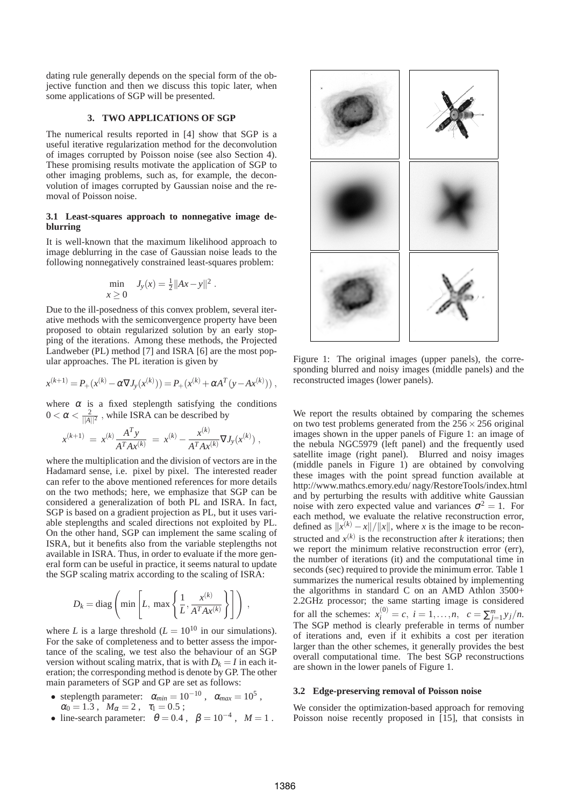dating rule generally depends on the special form of the objective function and then we discuss this topic later, when some applications of SGP will be presented.

### **3. TWO APPLICATIONS OF SGP**

The numerical results reported in [4] show that SGP is a useful iterative regularization method for the deconvolution of images corrupted by Poisson noise (see also Section 4). These promising results motivate the application of SGP to other imaging problems, such as, for example, the deconvolution of images corrupted by Gaussian noise and the removal of Poisson noise.

#### **3.1 Least-squares approach to nonnegative image deblurring**

It is well-known that the maximum likelihood approach to image deblurring in the case of Gaussian noise leads to the following nonnegatively constrained least-squares problem:

$$
\min_{x \ge 0} J_y(x) = \frac{1}{2} ||Ax - y||^2.
$$

Due to the ill-posedness of this convex problem, several iterative methods with the semiconvergence property have been proposed to obtain regularized solution by an early stopping of the iterations. Among these methods, the Projected Landweber (PL) method [7] and ISRA [6] are the most popular approaches. The PL iteration is given by

$$
x^{(k+1)} = P_{+}(x^{(k)} - \alpha \nabla J_{y}(x^{(k)})) = P_{+}(x^{(k)} + \alpha A^{T}(y - Ax^{(k)})),
$$

where  $\alpha$  is a fixed steplength satisfying the conditions  $0 < \alpha < \frac{2}{||A||^2}$ , while ISRA can be described by

$$
x^{(k+1)} = x^{(k)} \frac{A^T y}{A^T A x^{(k)}} = x^{(k)} - \frac{x^{(k)}}{A^T A x^{(k)}} \nabla J_y(x^{(k)}) ,
$$

where the multiplication and the division of vectors are in the Hadamard sense, i.e. pixel by pixel. The interested reader can refer to the above mentioned references for more details on the two methods; here, we emphasize that SGP can be considered a generalization of both PL and ISRA. In fact, SGP is based on a gradient projection as PL, but it uses variable steplengths and scaled directions not exploited by PL. On the other hand, SGP can implement the same scaling of ISRA, but it benefits also from the variable steplengths not available in ISRA. Thus, in order to evaluate if the more general form can be useful in practice, it seems natural to update the SGP scaling matrix according to the scaling of ISRA:

$$
D_k = \text{diag}\left(\min\left[L, \max\left\{\frac{1}{L}, \frac{x^{(k)}}{A^T A x^{(k)}}\right\}\right]\right),\,
$$

where *L* is a large threshold ( $L = 10^{10}$  in our simulations). For the sake of completeness and to better assess the importance of the scaling, we test also the behaviour of an SGP version without scaling matrix, that is with  $D_k = I$  in each iteration; the corresponding method is denote by GP. The other main parameters of SGP and GP are set as follows:

- steplength parameter:  $\alpha_{min} = 10^{-10}$ ,  $\alpha_{max} = 10^5$ ,  $\alpha_0 = 1.3$ ,  $M_\alpha = 2$ ,  $\tau_1 = 0.5$ ;
- line-search parameter:  $\theta = 0.4$ ,  $\beta = 10^{-4}$ ,  $M = 1$ .



Figure 1: The original images (upper panels), the corresponding blurred and noisy images (middle panels) and the reconstructed images (lower panels).

We report the results obtained by comparing the schemes on two test problems generated from the  $256 \times 256$  original images shown in the upper panels of Figure 1: an image of the nebula NGC5979 (left panel) and the frequently used satellite image (right panel). Blurred and noisy images (middle panels in Figure 1) are obtained by convolving these images with the point spread function available at http://www.mathcs.emory.edu/ nagy/RestoreTools/index.html and by perturbing the results with additive white Gaussian noise with zero expected value and variances  $\sigma^2 = 1$ . For each method, we evaluate the relative reconstruction error, defined as  $||x^{(k)} - x||/||x||$ , where *x* is the image to be reconstructed and  $x^{(k)}$  is the reconstruction after *k* iterations; then we report the minimum relative reconstruction error (err), the number of iterations (it) and the computational time in seconds (sec) required to provide the minimum error. Table 1 summarizes the numerical results obtained by implementing the algorithms in standard C on an AMD Athlon 3500+ 2.2GHz processor; the same starting image is considered for all the schemes:  $x_i^{(0)} = c$ ,  $i = 1,...,n$ ,  $c = \sum_{j=1}^{m} y_j/n$ . The SGP method is clearly preferable in terms of number of iterations and, even if it exhibits a cost per iteration larger than the other schemes, it generally provides the best overall computational time. The best SGP reconstructions are shown in the lower panels of Figure 1.

#### **3.2 Edge-preserving removal of Poisson noise**

We consider the optimization-based approach for removing Poisson noise recently proposed in [15], that consists in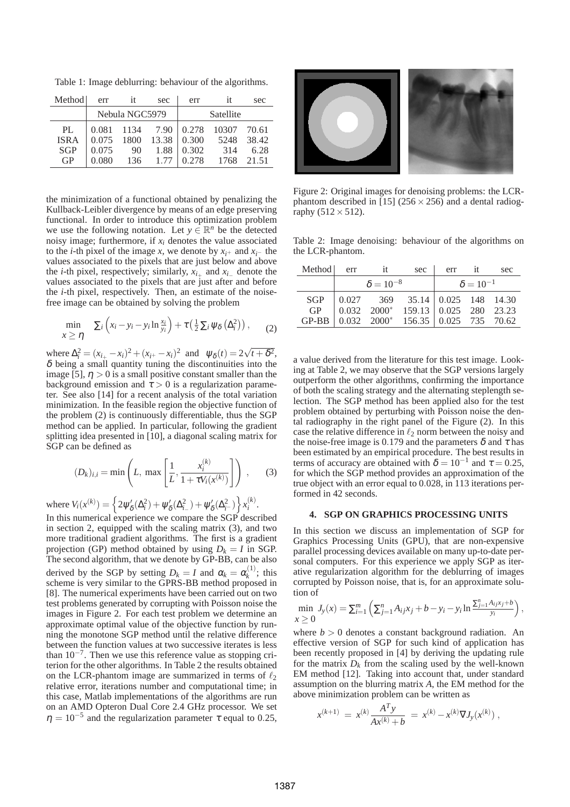Table 1: Image deblurring: behaviour of the algorithms.

| Method      | err            | it | sec           | err       | it                                | sec  |
|-------------|----------------|----|---------------|-----------|-----------------------------------|------|
|             | Nebula NGC5979 |    |               | Satellite |                                   |      |
| PL.         |                |    |               |           | 0.081 1134 7.90 0.278 10307 70.61 |      |
| <b>ISRA</b> |                |    |               |           |                                   |      |
| <b>SGP</b>  |                |    | 0.075 90 1.88 | 0.302     | 314                               | 6.28 |
| GP          | 0.080          |    | 136 1.77      | 0.278     | 1768 21.51                        |      |

the minimization of a functional obtained by penalizing the Kullback-Leibler divergence by means of an edge preserving functional. In order to introduce this optimization problem we use the following notation. Let  $y \in \mathbb{R}^n$  be the detected noisy image; furthermore, if  $x_i$  denotes the value associated to the *i*-th pixel of the image *x*, we denote by  $x_i$ + and  $x_i$ – the values associated to the pixels that are just below and above the *i*-th pixel, respectively; similarly,  $x_{i+}$  and  $x_{i-}$  denote the values associated to the pixels that are just after and before the *i*-th pixel, respectively. Then, an estimate of the noisefree image can be obtained by solving the problem

$$
\min_{x \geq \eta} \sum_{i} \left( x_i - y_i - y_i \ln \frac{x_i}{y_i} \right) + \tau \left( \frac{1}{2} \sum_{i} \psi_{\delta} \left( \Delta_i^2 \right) \right), \qquad (2)
$$

where  $\Delta_i^2 = (x_{i+1} - x_i)^2 + (x_{i+} - x_i)^2$  and  $\psi_\delta(t) = 2\sqrt{t + \delta^2}$ ,  $\delta$  being a small quantity tuning the discontinuities into the image [5],  $\eta > 0$  is a small positive constant smaller than the background emission and  $\tau > 0$  is a regularization parameter. See also [14] for a recent analysis of the total variation minimization. In the feasible region the objective function of the problem (2) is continuously differentiable, thus the SGP method can be applied. In particular, following the gradient splitting idea presented in [10], a diagonal scaling matrix for SGP can be defined as

$$
(D_k)_{i,i} = \min\left(L, \, \max\left[\frac{1}{L}, \frac{x_i^{(k)}}{1 + \tau V_i(x^{(k)})}\right]\right), \qquad (3)
$$

where  $V_i(x^{(k)}) = \left\{ 2\psi_{\delta}^{\prime}(\Delta_i^2) + \psi_{\delta}^{\prime}(\Delta_{i-}^2) + \psi_{\delta}^{\prime}(\Delta_{i-}^2) \right\} x_i^{(k)}$ *i* .

In this numerical experience we compare the SGP described in section 2, equipped with the scaling matrix (3), and two more traditional gradient algorithms. The first is a gradient projection (GP) method obtained by using  $D_k = I$  in SGP. The second algorithm, that we denote by GP-BB, can be also derived by the SGP by setting  $D_k = I$  and  $\alpha_k = \alpha_k^{(1)}$  $\kappa^{(1)}$ ; this scheme is very similar to the GPRS-BB method proposed in [8]. The numerical experiments have been carried out on two test problems generated by corrupting with Poisson noise the images in Figure 2. For each test problem we determine an approximate optimal value of the objective function by running the monotone SGP method until the relative difference between the function values at two successive iterates is less than  $10^{-7}$ . Then we use this reference value as stopping criterion for the other algorithms. In Table 2 the results obtained on the LCR-phantom image are summarized in terms of  $\ell_2$ relative error, iterations number and computational time; in this case, Matlab implementations of the algorithms are run on an AMD Opteron Dual Core 2.4 GHz processor. We set  $\eta = 10^{-5}$  and the regularization parameter  $\tau$  equal to 0.25,



Figure 2: Original images for denoising problems: the LCRphantom described in [15] ( $256 \times 256$ ) and a dental radiography  $(512 \times 512)$ .

Table 2: Image denoising: behaviour of the algorithms on the LCR-phantom.

| Method err |                    | it | sec                                                                                                                      |                    | $err$ if | sec |  |
|------------|--------------------|----|--------------------------------------------------------------------------------------------------------------------------|--------------------|----------|-----|--|
|            | $\delta = 10^{-8}$ |    |                                                                                                                          | $\delta = 10^{-1}$ |          |     |  |
|            |                    |    | SGP 0.027 369 35.14 0.025 148 14.30<br>GP 0.032 2000* 159.13 0.025 280 23.23<br>GP-BB 0.032 2000* 156.35 0.025 735 70.62 |                    |          |     |  |

a value derived from the literature for this test image. Looking at Table 2, we may observe that the SGP versions largely outperform the other algorithms, confirming the importance of both the scaling strategy and the alternating steplength selection. The SGP method has been applied also for the test problem obtained by perturbing with Poisson noise the dental radiography in the right panel of the Figure (2). In this case the relative difference in  $\ell_2$  norm between the noisy and the noise-free image is 0.179 and the parameters  $\delta$  and  $\tau$  has been estimated by an empirical procedure. The best results in terms of accuracy are obtained with  $\delta = 10^{-1}$  and  $\tau = 0.25$ , for which the SGP method provides an approximation of the true object with an error equal to 0.028, in 113 iterations performed in 42 seconds.

#### **4. SGP ON GRAPHICS PROCESSING UNITS**

In this section we discuss an implementation of SGP for Graphics Processing Units (GPU), that are non-expensive parallel processing devices available on many up-to-date personal computers. For this experience we apply SGP as iterative regularization algorithm for the deblurring of images corrupted by Poisson noise, that is, for an approximate solution of

$$
\min_{x \geq 0} J_y(x) = \sum_{i=1}^m \left( \sum_{j=1}^n A_{ij} x_j + b - y_i - y_i \ln \frac{\sum_{j=1}^n A_{ij} x_j + b}{y_i} \right),
$$

where  $b > 0$  denotes a constant background radiation. An effective version of SGP for such kind of application has been recently proposed in [4] by deriving the updating rule for the matrix  $D_k$  from the scaling used by the well-known EM method [12]. Taking into account that, under standard assumption on the blurring matrix *A*, the EM method for the above minimization problem can be written as

$$
x^{(k+1)} = x^{(k)} \frac{A^T y}{Ax^{(k)} + b} = x^{(k)} - x^{(k)} \nabla J_y(x^{(k)}),
$$